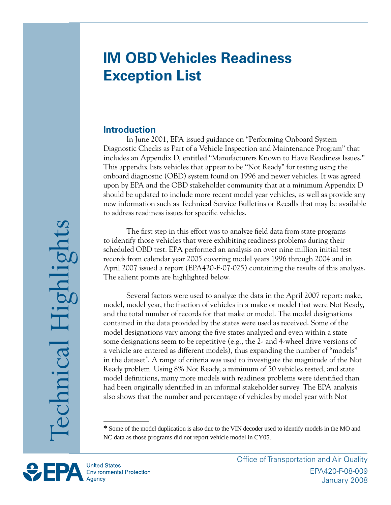# **IM OBD Vehicles Readiness Exception List**

#### **Introduction**

In June 2001, EPA issued guidance on "Performing Onboard System Diagnostic Checks as Part of a Vehicle Inspection and Maintenance Program" that includes an Appendix D, entitled "Manufacturers Known to Have Readiness Issues." This appendix lists vehicles that appear to be "Not Ready" for testing using the onboard diagnostic (OBD) system found on 1996 and newer vehicles. It was agreed upon by EPA and the OBD stakeholder community that at a minimum Appendix D should be updated to include more recent model year vehicles, as well as provide any new information such as Technical Service Bulletins or Recalls that may be available to address readiness issues for specific vehicles.

The first step in this effort was to analyze field data from state programs to identify those vehicles that were exhibiting readiness problems during their scheduled OBD test. EPA performed an analysis on over nine million initial test records from calendar year 2005 covering model years 1996 through 2004 and in April 2007 issued a report (EPA420-F-07-025) containing the results of this analysis. The salient points are highlighted below.

Several factors were used to analyze the data in the April 2007 report: make, model, model year, the fraction of vehicles in a make or model that were Not Ready, and the total number of records for that make or model. The model designations contained in the data provided by the states were used as received. Some of the model designations vary among the five states analyzed and even within a state some designations seem to be repetitive (e.g., the 2- and 4-wheel drive versions of a vehicle are entered as different models), thus expanding the number of "models" in the dataset . A range of criteria was used to investigate the magnitude of the Not Ready problem. Using 8% Not Ready, a minimum of 50 vehicles tested, and state model definitions, many more models with readiness problems were identified than had been originally identified in an informal stakeholder survey. The EPA analysis also shows that the number and percentage of vehicles by model year with Not

Some of the model duplication is also due to the VIN decoder used to identify models in the MO and NC data as those programs did not report vehicle model in CY05.

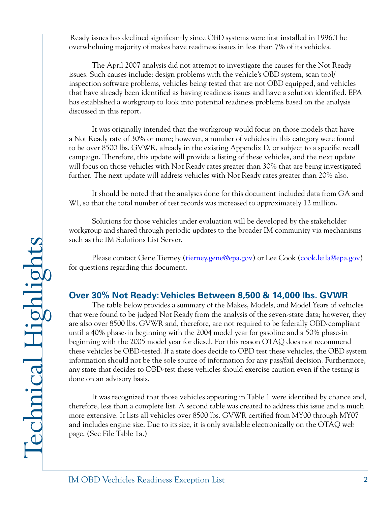Ready issues has declined significantly since OBD systems were first installed in 1996.The overwhelming majority of makes have readiness issues in less than 7% of its vehicles.

The April 2007 analysis did not attempt to investigate the causes for the Not Ready issues. Such causes include: design problems with the vehicle's OBD system, scan tool/ inspection software problems, vehicles being tested that are not OBD equipped, and vehicles that have already been identified as having readiness issues and have a solution identified. EPA has established a workgroup to look into potential readiness problems based on the analysis discussed in this report.

It was originally intended that the workgroup would focus on those models that have a Not Ready rate of 30% or more; however, a number of vehicles in this category were found to be over 8500 lbs. GVWR, already in the existing Appendix D, or subject to a specific recall campaign. Therefore, this update will provide a listing of these vehicles, and the next update will focus on those vehicles with Not Ready rates greater than 30% that are being investigated further. The next update will address vehicles with Not Ready rates greater than 20% also.

It should be noted that the analyses done for this document included data from GA and WI, so that the total number of test records was increased to approximately 12 million.

Solutions for those vehicles under evaluation will be developed by the stakeholder workgroup and shared through periodic updates to the broader IM community via mechanisms such as the IM Solutions List Server.

Please contact Gene Tierney [\(tierney.gene@epa.gov\)](mailto:tierney.gene@epa.gov) or Lee Cook [\(cook.leila@epa.gov\)](mailto:cook.leila@epa.gov) for questions regarding this document.

## **Over 30% Not Ready:Vehicles Between 8,500 & 14,000 lbs. GVWR**

The table below provides a summary of the Makes, Models, and Model Years of vehicles that were found to be judged Not Ready from the analysis of the seven-state data; however, they are also over 8500 lbs. GVWR and, therefore, are not required to be federally OBD-compliant until a 40% phase-in beginning with the 2004 model year for gasoline and a 50% phase-in beginning with the 2005 model year for diesel. For this reason OTAQ does not recommend these vehicles be OBD-tested. If a state does decide to OBD test these vehicles, the OBD system information should not be the sole source of information for any pass/fail decision. Furthermore, any state that decides to OBD-test these vehicles should exercise caution even if the testing is done on an advisory basis.

It was recognized that those vehicles appearing in Table 1 were identified by chance and, therefore, less than a complete list. A second table was created to address this issue and is much more extensive. It lists all vehicles over 8500 lbs. GVWR certified from MY00 through MY07 and includes engine size. Due to its size, it is only available electronically on the OTAQ web page. (See File Table 1a.)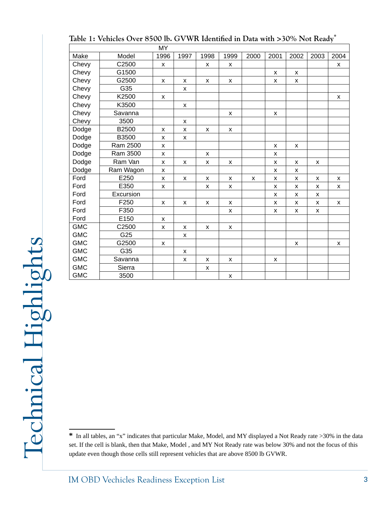| Table 1: Vehicles Over 8500 lb. GVWR Identified in Data with >30% Not Ready* |  |
|------------------------------------------------------------------------------|--|
|------------------------------------------------------------------------------|--|

|            |           | <b>MY</b> |              |              |      |      |      |                    |      |      |
|------------|-----------|-----------|--------------|--------------|------|------|------|--------------------|------|------|
| Make       | Model     | 1996      | 1997         | 1998         | 1999 | 2000 | 2001 | 2002               | 2003 | 2004 |
| Chevy      | C2500     | X         |              | X            | X    |      |      |                    |      | X    |
| Chevy      | G1500     |           |              |              |      |      | X    | X                  |      |      |
| Chevy      | G2500     | X         | X            | X            | X    |      | X    | X                  |      |      |
| Chevy      | G35       |           | X            |              |      |      |      |                    |      |      |
| Chevy      | K2500     | X         |              |              |      |      |      |                    |      | X    |
| Chevy      | K3500     |           | X            |              |      |      |      |                    |      |      |
| Chevy      | Savanna   |           |              |              | X    |      | X    |                    |      |      |
| Chevy      | 3500      |           | $\mathsf{x}$ |              |      |      |      |                    |      |      |
| Dodge      | B2500     | X         | X            | X            | X    |      |      |                    |      |      |
| Dodge      | B3500     | X         | X            |              |      |      |      |                    |      |      |
| Dodge      | Ram 2500  | X         |              |              |      |      | X    | X                  |      |      |
| Dodge      | Ram 3500  | X         |              | $\mathsf{x}$ |      |      | X    |                    |      |      |
| Dodge      | Ram Van   | X         | X            | X            | X    |      | X    | X                  | x    |      |
| Dodge      | Ram Wagon | X         |              |              |      |      | X    | X                  |      |      |
| Ford       | E250      | X         | X            | X            | X    | X    | X    | X                  | x    | X    |
| Ford       | E350      | X         |              | X            | X    |      | X    | X                  | x    | X    |
| Ford       | Excursion |           |              |              |      |      | X    | X                  | X    |      |
| Ford       | F250      | X         | X            | X            | X    |      | X    | X                  | x    | X    |
| Ford       | F350      |           |              |              | X    |      | X    | X                  | X    |      |
| Ford       | E150      | X         |              |              |      |      |      |                    |      |      |
| <b>GMC</b> | C2500     | X         | X            | X            | X    |      |      |                    |      |      |
| <b>GMC</b> | G25       |           | X            |              |      |      |      |                    |      |      |
| <b>GMC</b> | G2500     | X         |              |              |      |      |      | $\pmb{\mathsf{x}}$ |      | X    |
| <b>GMC</b> | G35       |           | $\mathsf{x}$ |              |      |      |      |                    |      |      |
| <b>GMC</b> | Savanna   |           | X            | х            | x    |      | X    |                    |      |      |
| <b>GMC</b> | Sierra    |           |              | X            |      |      |      |                    |      |      |
| <b>GMC</b> | 3500      |           |              |              | X    |      |      |                    |      |      |

Technical Highlights Technical Highlights

In all tables, an "x" indicates that particular Make, Model, and MY displayed a Not Ready rate >30% in the data set. If the cell is blank, then that Make, Model , and MY Not Ready rate was below 30% and not the focus of this update even though those cells still represent vehicles that are above 8500 lb GVWR.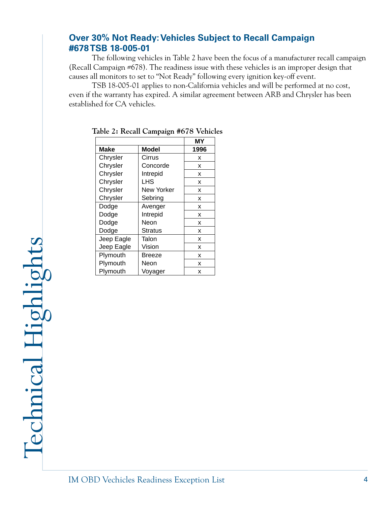### **Over 30% Not Ready: Vehicles Subject to Recall Campaign #678 TSB 18-005-01**

The following vehicles in Table 2 have been the focus of a manufacturer recall campaign (Recall Campaign #678). The readiness issue with these vehicles is an improper design that causes all monitors to set to "Not Ready" following every ignition key-off event.

TSB 18-005-01 applies to non-California vehicles and will be performed at no cost, even if the warranty has expired. A similar agreement between ARB and Chrysler has been established for CA vehicles.

|            |            | MΥ   |
|------------|------------|------|
| Make       | Model      | 1996 |
| Chrysler   | Cirrus     | x    |
| Chrysler   | Concorde   | х    |
| Chrysler   | Intrepid   | х    |
| Chrysler   | LHS        | х    |
| Chrysler   | New Yorker | x    |
| Chrysler   | Sebring    | х    |
| Dodge      | Avenger    | х    |
| Dodge      | Intrepid   | x    |
| Dodge      | Neon       | x    |
| Dodge      | Stratus    | x    |
| Jeep Eagle | Talon      | x    |
| Jeep Eagle | Vision     | x    |
| Plymouth   | Breeze     | x    |
| Plymouth   | Neon       | x    |
| Plymouth   | Voyager    | x    |

|  |  | Table 2: Recall Campaign #678 Vehicles |  |  |
|--|--|----------------------------------------|--|--|
|--|--|----------------------------------------|--|--|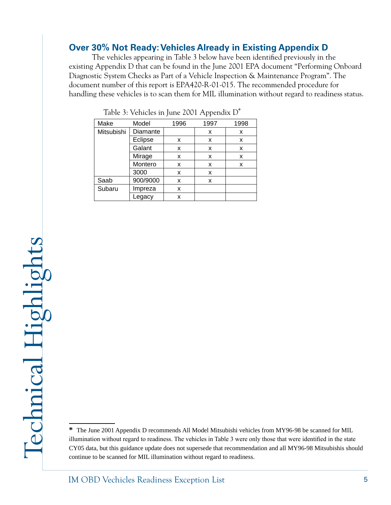## **Over 30% Not Ready: Vehicles Already in Existing Appendix D**

The vehicles appearing in Table 3 below have been identified previously in the existing Appendix D that can be found in the June 2001 EPA document "Performing Onboard Diagnostic System Checks as Part of a Vehicle Inspection & Maintenance Program". The document number of this report is EPA420-R-01-015. The recommended procedure for handling these vehicles is to scan them for MIL illumination without regard to readiness status.

| Make       | Model    | 1996 | 1997 | 1998 |
|------------|----------|------|------|------|
| Mitsubishi | Diamante |      | x    | x    |
|            | Eclipse  | x    | x    | x    |
|            | Galant   | х    | x    | x    |
|            | Mirage   | x    | x    | x    |
|            | Montero  | x    | x    | X    |
|            | 3000     | x    | x    |      |
| Saab       | 900/9000 | x    | х    |      |
| Subaru     | Impreza  | х    |      |      |
|            | egacy    | x    |      |      |

Table 3: Vehicles in June 2001 Appendix D<sup>\*</sup>

The June 2001 Appendix D recommends All Model Mitsubishi vehicles from MY96-98 be scanned for MIL illumination without regard to readiness. The vehicles in Table 3 were only those that were identified in the state CY05 data, but this guidance update does not supersede that recommendation and all MY96-98 Mitsubishis should continue to be scanned for MIL illumination without regard to readiness.